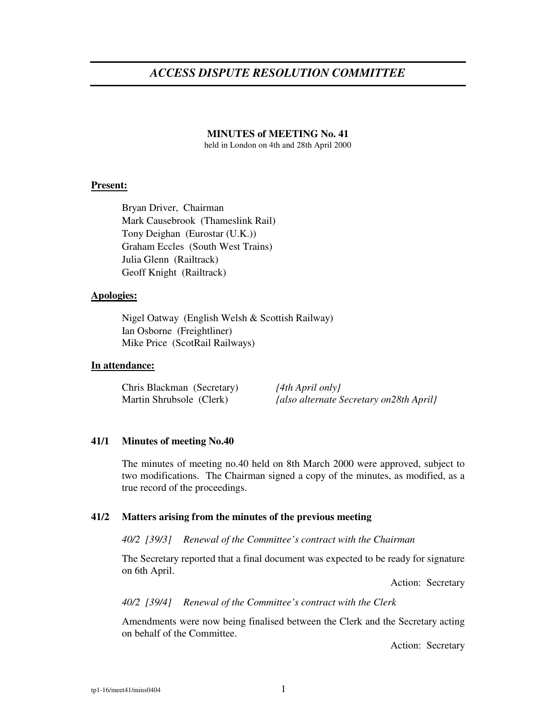# *ACCESS DISPUTE RESOLUTION COMMITTEE*

#### **MINUTES of MEETING No. 41**

held in London on 4th and 28th April 2000

#### **Present:**

Bryan Driver, Chairman Mark Causebrook (Thameslink Rail) Tony Deighan (Eurostar (U.K.)) Graham Eccles (South West Trains) Julia Glenn (Railtrack) Geoff Knight (Railtrack)

#### **Apologies:**

Nigel Oatway (English Welsh & Scottish Railway) Ian Osborne (Freightliner) Mike Price (ScotRail Railways)

#### **In attendance:**

Chris Blackman (Secretary) *{4th April only}* Martin Shrubsole (Clerk) *{also alternate Secretary on28th April}*

#### **41/1 Minutes of meeting No.40**

The minutes of meeting no.40 held on 8th March 2000 were approved, subject to two modifications. The Chairman signed a copy of the minutes, as modified, as a true record of the proceedings.

### **41/2 Matters arising from the minutes of the previous meeting**

*40/2 [39/3] Renewal of the Committee's contract with the Chairman*

The Secretary reported that a final document was expected to be ready for signature on 6th April.

Action: Secretary

*40/2 [39/4] Renewal of the Committee's contract with the Clerk*

Amendments were now being finalised between the Clerk and the Secretary acting on behalf of the Committee.

Action: Secretary